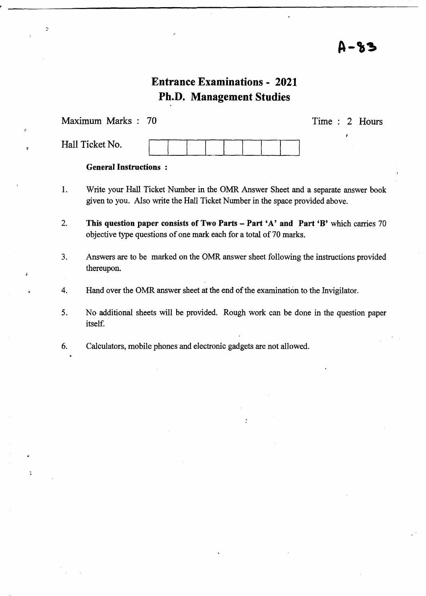### Д-83

### Entrance Examinations - 2021 Ph.D. Management Studies

Maximum Marks 70

 $\overline{z}$ 

Time : 2 Hours

| Hall Ticket No. |  |  |  |  |  |
|-----------------|--|--|--|--|--|
|                 |  |  |  |  |  |

#### General Instructions :

- 1. Write your Hall Ticket Number in the OMR Answer Sheet and a separate answer book given to you. Also write the Hall Ticket Number in the space provided above.
- 2. This question paper consists of Two Parts Part 'A' and Part 'B' which carries 70 objective type questions of one mark each for a total of 70 marks.
- 3. Answers are to be marked on the OMR answer sheet following the instructions provided thereupon.
- 4. Hand over the OMR answer sheet at the end of the examination to the Invigilator.
- 5. No additional sheets will be provided. Rough work can be done in the question paper itself.
- 6. Calculators, mobile phones and electronic gadgets are not allowed.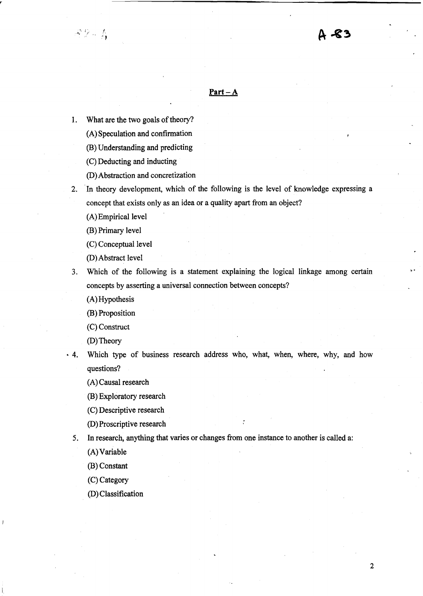#### **Part-A**

1. What are the two goals of theory?

 $A2 - A$ 

- (A) Speculation and confirmation
- (B) Understanding and predicting
- (C) Deducting and inducting
- (D) Abstraction and concretization
- 2. In theory development, which of the following is the level of knowledge expressing a concept that exists only as an idea or a quality apart from an object?
	- (A) Empirical level
	- (B) Primary level
	- (C) Conceptual level
	- (D) Abstract level
- 3. Which of the following is a statement explaining the logical linkage among certain concepts by asserting a universal connection between concepts?
	- (A) Hypothesis
	- (B) Proposition
	- (C) Construct
	- (D) Theory
- 4. Which type of business research address who, what, when, where, why, and how questions?
	- (A) Causal research
	- (B) Exploratory research
	- (C) Descriptive research
	- (D) Proscriptive research
	- 5. In research, anything that varies or changes from one instance to another is called a:
		- (A) Variable
		- (B) Constant
		- (C) Category
		- (D) Classification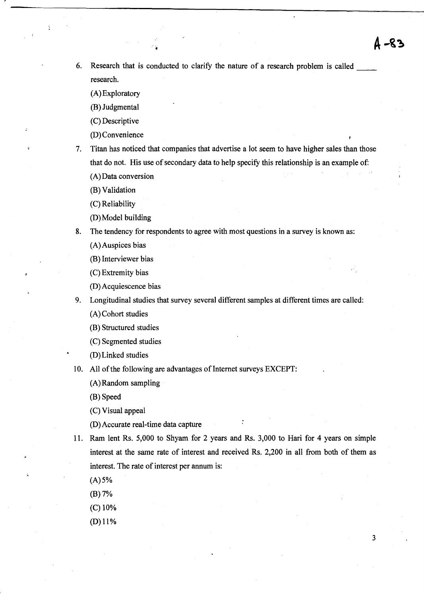6. Research that is conducted to clarify the nature of a research problem is called research.

(A) Exploratory

þ

(B) Judgmental

(C) Descriptive

(D) Convenience

7. Titan has noticed that companies that advertise a lot seem to have higher sales than those that do not. His use of secondary data to help specify this relationship is an example of:

(A) Data conversion

(B) Validation

(C) Reliability

(D) Model building

8. The tendency for respondents to agree with most questions in a survey is known as:

(A) Auspices bias

(B) Interviewer bias

(C) Extremity bias

(D) Acquiescence bias

9. Longitudinal studies that survey several different samples at different times are called: (A) Cohort studies

(B) Structured studies

(C) Segmented studies

(D) Linked studies

10. All of the following are advantages of Internet surveys EXCEPT:

(A) Random sampling

(B) Speed

(C) Visual appeal

(D) Accurate real-time data capture

11. Ram lent Rs. 5,000 to Shyam for 2 years and Rs. 3,000 to Hari for 4 years on simple interest at the same rate of interest and received Rs. 2,200 in all from both of them as interest. The rate of interest per annum is:

 $(A) 5%$ 

(B) 7%

(C) 10%

(D) 11%

3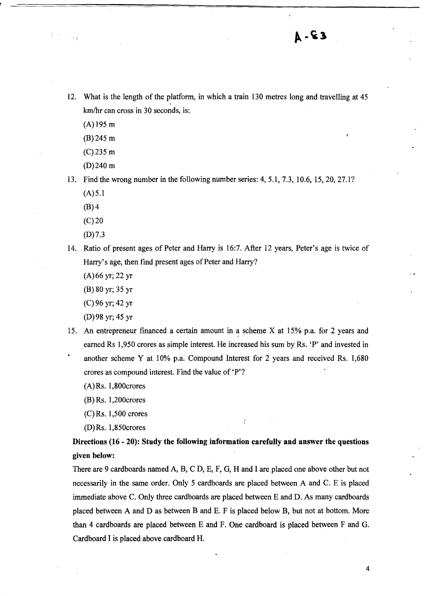**A - & 3** 

12. What is the length of the platform, in which a train 130 metres long and travelling at 45 km/hr can cross in 30 seconds, is:

(A) 195 m

(B) 245 m

(C)235 m

(D) 240 m

13. Find the wrong number in the following number series: 4, 5.1, 7.3, 10.6, 15, 20, 27.1?

 $(A) 5.1$ 

 $(B)$ 4

 $(C)20$ 

- (D) 7.3
- 14. Ratio of present ages of Peter and Harry is 16:7. After 12 years, Peter's age is twice of Harry's age, then find present ages of Peter and Harry?

(A) 66 yr; 22 yr

(B) 80 yr; 35 yr

(C) 96 yr; 42 yr

(D) 98 yr; 45 yr

- 15. An entrepreneur financed a certain amount in a scheme X at 15% p.a. for 2 years and earned Rs 1,950 crores as simple interest. He increased his sum by Rs. 'P' and invested in another scheme Y at 10% p.a. Compound Interest for 2 years and received Rs. 1,680 crores as compound interest. Find the value of 'P'?
	- (A)Rs. 1,800crores

(B) Rs. 1,200crores

(C)Rs. 1,500 crores

(D)Rs. 1,850crores

Directions (16 - 20): Study the following information carefully and answer the questions given below:

There are 9 cardboards named A, B, C D, E, F, G, H and I are placed one above other but not necessarily in the same order. Only 5 cardboards are placed between A and C. E is placed immediate above C. Only three cardboards are placed between E and D. As many cardboards placed between A and D as between B and E. F is placed below B, but not at bottom. More than 4 cardboards are placed between E and F. One cardboard is placed between F and G. Cardboard I is placed above cardboard H.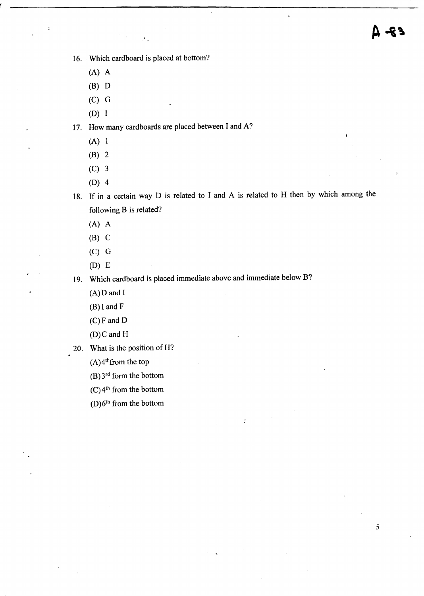16. Which cardboard is placed at bottom?

- (A) A
- $(B)$  D
- (C) G
- (D)

17. How many cardboards are placed between I and A?

- $(A)$  1
- (B) 2
- (C) 3
- (D) 4
- 18. If in a certain way D is related to I and A is related to H then by which among the following B is related?

 $\ddot{\cdot}$ 

- *(A)* A
- $(B)$  C
- (C) G
- (D) E

19. Which cardboard is placed immediate above and immediate below B?

 $(A)$ D and I

(B) I and F

- $(C)$ F and D
- (O)C and H
- 20. What is the position of H?
	- $(A)$ <sup>4th</sup>from the top
	- (B) 3rd form the bottom
	- $(C)$ <sup>4th</sup> from the bottom
	- (D) $6<sup>th</sup>$  from the bottom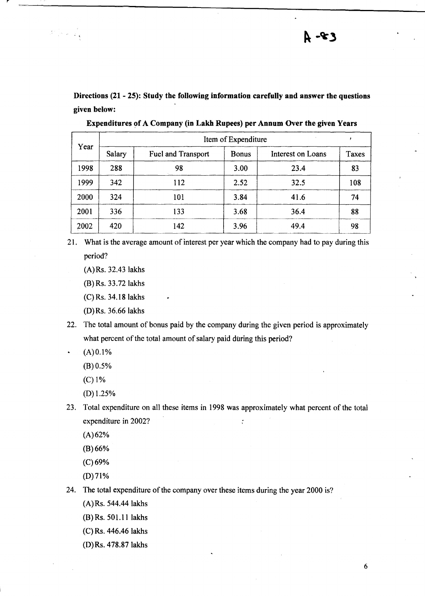**Directions (21 - 25): Study the following information carefully and answer the questions given below:** 

| Year | Item of Expenditure |                    |              |                   |       |  |  |  |
|------|---------------------|--------------------|--------------|-------------------|-------|--|--|--|
|      | Salary              | Fuel and Transport | <b>Bonus</b> | Interest on Loans | Taxes |  |  |  |
| 1998 | 288                 | 98                 | 3.00         | 23.4              | 83    |  |  |  |
| 1999 | 342                 | 112                | 2.52         | 32.5              | 108   |  |  |  |
| 2000 | 324                 | 101                | 3.84         | 41.6              | 74    |  |  |  |
| 2001 | 336                 | 133                | 3.68         | 36.4              | 88    |  |  |  |
| 2002 | 420                 | 142                | 3.96         | 49.4              | 98    |  |  |  |

**Expenditures of A Company (in Lakb Rupees) per Annum Over the given Years** 

- 21. What is the average amount of interest per year which the company had to pay during this period?
	- (A)Rs. 32.43 lakhs
	- (B) Rs. 33.72 lakhs
	- (C) Rs. 34.18 lakhs
	- (D) Rs. 36.66 lakhs
- 22. The total amount of bonus paid by the company during the given period is approximately what percent of the total amount of salary paid during this period?
	- $(A) 0.1%$

 $\label{eq:2} \left\|\frac{\partial}{\partial t}\right\|_{\mathcal{H}}^2 \leq \left\|\frac{\partial}{\partial t}\right\|_{\mathcal{H}}^2 \leq \left\|\frac{\partial}{\partial t}\right\|_{\mathcal{H}}^2$ 

- (B) 0.5%
- (C) 1%
- (D) 1.25%
- 23. Total expenditure on all these items in 1998 was approximately what percent of the total expenditure in 2002?  $\ddot{\cdot}$ 
	- $(A) 62%$
	- (B) 66%
	- (C)69%
	- $(D)71%$
- 24. The total expenditure of the company over these items during the year 2000 is?
	- (A) Rs. 544.44 lakhs
	- $(B)$  Rs. 501.11 lakhs
	- (C) Rs. 446.46 lakhs
	- (D)Rs. 478.87 lakhs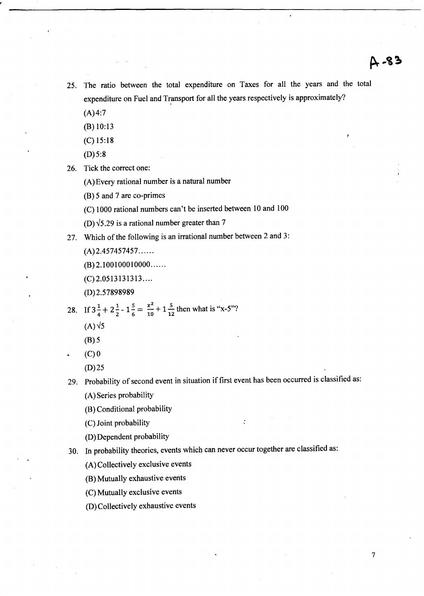7

- 25. The ratio between the total expenditure on Taxes for all the years and the total expenditure on Fuel and Transport for all the years respectively is approximately?
	- $(A)4:7$
	- (B) 10:13
	- (C) 15:18
	- $(D)5:8$

26. Tick the correct one:

(A) Every rational number is a natural number

(B) 5 and 7 are co-primes

(C) 1000 rational numbers can't be inserted between 10 and 100

(D) $\sqrt{5.29}$  is a rational number greater than 7

27. Which of the following is an irrational number between 2 and 3:

- $(A)$  2.457457457.....
- $(B)$  2.100100010000.....
- (C) 2.0513131313 ... .

(D) 2.57898989

28. If 
$$
3\frac{1}{4} + 2\frac{1}{2} - 1\frac{5}{6} = \frac{x^2}{10} + 1\frac{5}{12}
$$
 then what is "x-5"?

- $(A)\sqrt{5}$
- (B) 5
- $(C)$ <sup>O</sup>

(D)25

- 29. Probability of second event in situation if first event has been occurred is classified as: (A) Series probability
	- (B) Conditional probability
	- (C) Joint probability
	- (D) Dependent probability

30. In probability theories, events which can never occur together are classified as:

- (A) Collectively exclusive events
- (B) Mutually exhaustive events
- (C) Mutually exclusive events
- (D) Collectively exhaustive events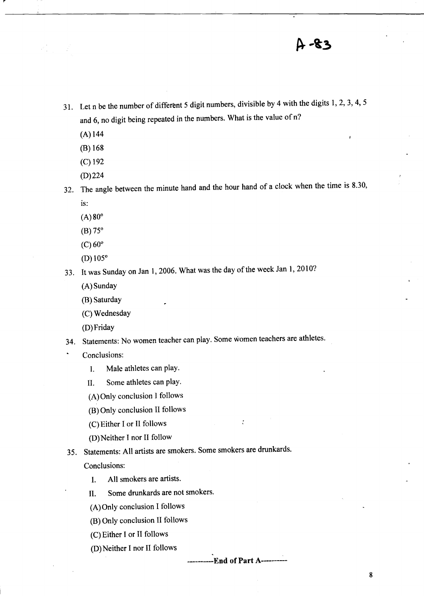## 4-83

- 31. Let n be the number of different 5 digit numbers, divisible by 4 with the digits 1, 2, 3, 4, 5 and 6, no digit being repeated in the numbers. What is the value of n?
	- $(A)$  144

 $\mathcal{L}^{\text{max}}_{\text{max}}$ 

- (B) 168
- (C) 192
- (D) 224
- 32. The angle between the minute hand and the hour hand of a clock when the time is 8.30, is:
	- $(A) 80^{\circ}$
	- $(B) 75^{\circ}$
	- $(C)$  60 $\degree$
	- $(D) 105^{\circ}$
- 33. It was Sunday on Jan 1,2006. What was the day of the week Jan 1, 2010?
	- (A) Sunday
	- (B) Saturday
	- (C) Wednesday
	- (D) Friday
- 34. Statements: No women teacher can play. Some women teachers are athletes.
- Conclusions:
	- I. Male athletes can play.
	- II. Some athletes can play.
	- (A) Only conclusion I follows
	- (8) Only conclusion II follows
	- (C) Either I or II follows
	- (D) Neither J nor II follow
- 35. Statements: All artists are smokers. Some smokers are drunkards.

Conclusions:

- I. All smokers are artists.
- II. Some drunkards are not smokers.
- (A) Only conclusion I follows
- (B) Only conclusion II follows
- (C) Either I or II follows
- (D) Neither I nor II follows

--End of Part A----------

 $\ddot{\cdot}$ 

8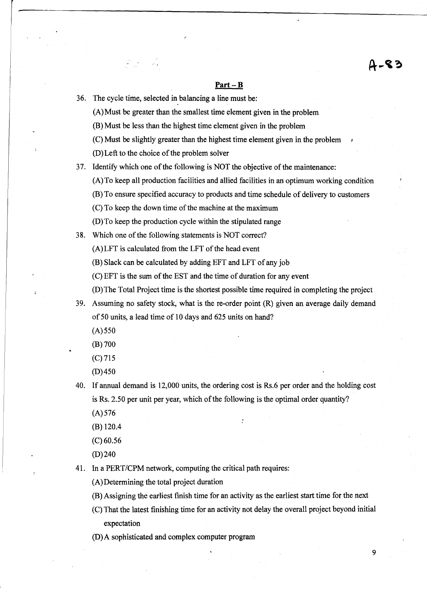#### **Part-B**

36. The cycle time, selected in balancing a line must be:

 $\label{eq:2} \frac{1}{2} \sum_{i=1}^n \frac{1}{2} \sum_{j=1}^n \frac{1}{2} \sum_{j=1}^n \frac{1}{2} \sum_{j=1}^n \frac{1}{2} \sum_{j=1}^n \frac{1}{2} \sum_{j=1}^n \frac{1}{2} \sum_{j=1}^n \frac{1}{2} \sum_{j=1}^n \frac{1}{2} \sum_{j=1}^n \frac{1}{2} \sum_{j=1}^n \frac{1}{2} \sum_{j=1}^n \frac{1}{2} \sum_{j=1}^n \frac{1}{2} \sum_{j=1}^n \frac{1}{$ 

(A) Must be greater than the smallest time element given in the problem

(B) Must be less than the highest time element given in the problem

(C) Must be slightly greater than the highest time element given in the problem

(D) Left to the choice of the problem solver

37. Identify which one of the following is NOT the objective of the maintenance:

(A)To keep all production facilities and allied facilities in an optimum working condition

(B) To ensure specified accuracy to products and time schedule of delivery to customers

(C) To keep the down time of the machine at the maximum

(D) To keep the production cycle within the stipulated range

38. Which one of the following statements is NOT correct?

(A) LFT is calculated from the LFT of the head event

(B) Slack can be calculated by adding EFT and LFT of any job

(C) EFT is the sum of the EST and the time of duration for any event

(D) The Total Project time is the shortest possible time required in completing the project

39. Assuming no safety stock, what is the re-order point (R) given an average daily demand of 50 units, a lead time of 10 days and 625 units on hand?

 $(A)$  550

(B) 700

(C) 715

(D)450

40. If annual demand is 12,000 units, the ordering cost is Rs.6 per order and the holding cost is Rs. 2.50 per unit per year, which of the following is the optimal order quantity?

(A) 576

(B) 120.4

 $(C)60.56$ 

(D) 240

41. In a *PERT/CPM* network, computing the critical path requires:

(A) Determining the total project duration

(B) Assigning the earliest finish time for an activity as the earliest start time for the next

(C) That the latest finishing time for an activity not delay the overall project beyond initial expectation

(D)A sophisticated and complex computer program

9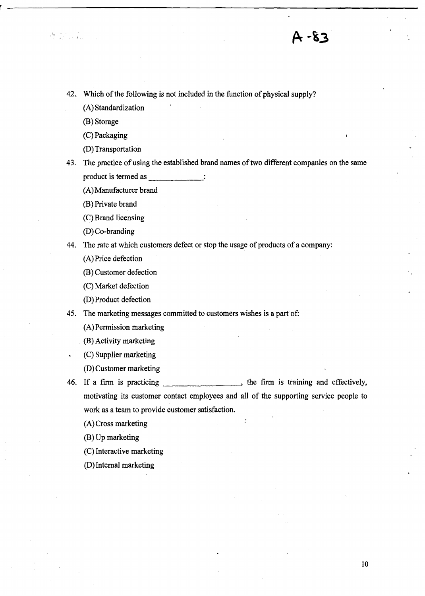42. Which of the following is not included in the function of physical supply?

(A) Standardization

(B) Storage

 $\label{eq:3.1} \frac{d\mathbf{q}}{d\mathbf{q}} = \frac{1}{\mathbf{q}} \frac{d\mathbf{q}}{d\mathbf{q}} = \frac{1}{\mathbf{q}} \frac{d\mathbf{q}}{d\mathbf{q}} \frac{d\mathbf{q}}{d\mathbf{q}} \, .$ 

(C) Packaging

(D) Transportation

43. The practice of using the established brand names of two different companies on the same product is termed as  $\cdot$ 

(A) Manufacturer brand

(B) Private brand

(C) Brand licensing

(D) Co-branding

44. The rate at which customers defect or stop the usage of products of a company:

(A) Price defection

(B) Customer defection

(C) Market defection

(D) Product defection

45. The marketing messages committed to customers wishes is a part of:

(A) Permission marketing

(B) Activity marketing

(C) Supplier marketing

(D) Customer marketing

46. If a firm is practicing the firm is training and effectively, motivating its customer contact employees and all of the supporting service people to work as a team to provide customer satisfaction.

(A) Cross marketing

(B) Up marketing

(C) Interactive marketing

(D) Internal marketing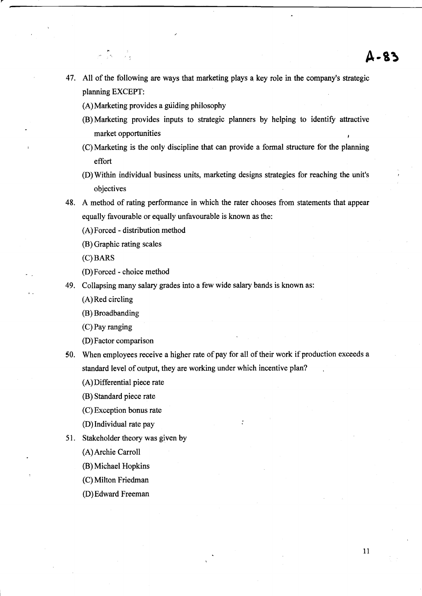- 47. All of the following are ways that marketing plays a key role in the company's strategic planning EXCEPT:
	- (A) Marketing provides a guiding philosophy
	- (B) Marketing provides inputs to strategic planners by helping to identify attractive market opportunities
	- (C) Marketing is the only discipline that can provide a formal structure for the planning effort
	- (D) Within individual business units, marketing designs strategies for reaching the unit's objectives
- 48. A method of rating performance in which the rater chooses from statements that appear equally favourable or equally unfavourable is known as the:
	- (A) Forced distribution method
	- (B) Graphic rating scales

್ನು ಕೆ.<br>ಕೆ. ಸ್. ಕ

- (C)BARS
- (D) Forced choice method
- 49. Collapsing many salary grades into a few wide salary bands is known as:
	- (A) Red circling
	- (B) Broadbanding
	- (C) Pay ranging
	- (D) Factor comparison
- 50. When employees receive a higher rate of pay for all of their work if production exceeds a standard level of output, they are working under which incentive plan?
	- (A) Differential piece rate
	- (B) Standard piece rate
	- (C) Exception bonus rate
	- (D) Individual rate pay
- 51. Stakeholder theory was given by
	- (A) Archie Carroll
	- (B) Michael Hopkins
	- (C) Milton Friedman
	- (D) Edward Freeman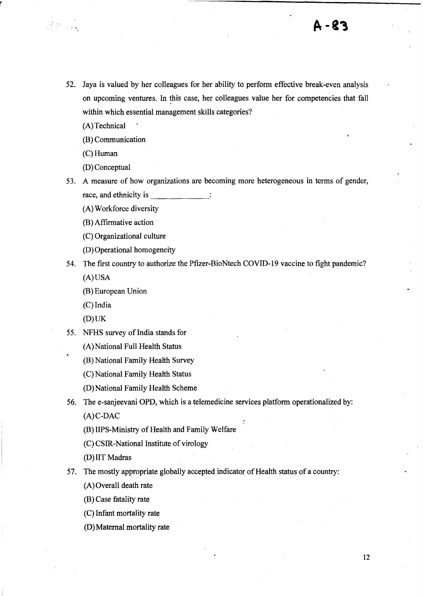52. Jaya is valued by her colleagues for her ability to perform effective break-even analysis on upcoming ventures. In this case, her colleagues value her for competencies that fall within which essential management skills categories?

(A) Technical

 $\frac{\partial V}{\partial \lambda} = \frac{\partial V}{\partial \lambda}$ 

r

(B) Communication

(C)Human

(D) Conceptual

53. A measure of how organizations are becoming more heterogeneous in terms of gender, race, and ethnicity is

(A) Workforce diversity

(B) Affirmative action

(C) Organizational culture

(D) Operational homogeneity

54. The first country to authorize the Pfizer-BioNtech COVID-19 vaccine to fight pandemic? (A) USA

- (B) European Union
- (C) India

 $(D)$  UK

55. NFHS survey of India stands for

(B) National Family Health Survey

(C) National Family Health Status

(D) National Family Health Scheme

56. The e-sanjeevani OPD, which is a telemedicine services platform operationalized by: (A)C-DAC

(B) liPS-Ministry of Health and Family Welfare

(C) CSIR-National Institute of virology

(D) IIT Madras

57. The mostly appropriate globally accepted indicator of Health status of a country:

(A) Overall death rate

(B) Case fatality rate

(C) Infant mortality rate

(D) Maternal mortality rate

<sup>(</sup>A) National Full Health Status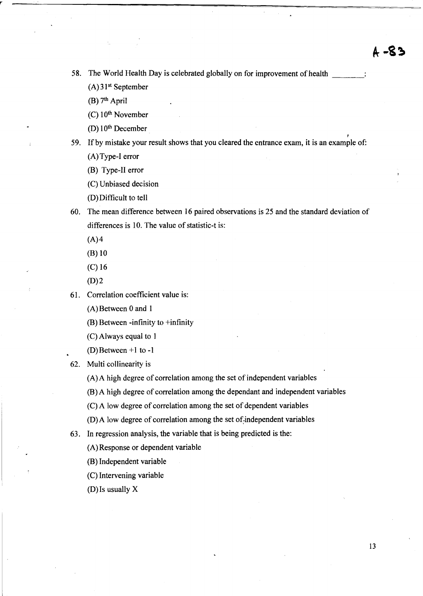58. The World Health Day is celebrated globally on for improvement of health  $(A)$ 31<sup>st</sup> September

 $(B)$  7<sup>th</sup> April

r

 $(C)$  10<sup>th</sup> November

(D) 10th December

I 59. If by mistake your result shows that you cleared the entrance exam, it is an example of:

(A) Type-I error

(B) Type-II error

(C) Unbiased decision

(D) Difficult to tell

60. The mean difference between 16 paired observations is 25 and the standard deviation of differences is 10. The value of statistic-t is:

 $(A)$ 4

(B) 10

(C) 16

 $(D)$  2

61. Correlation coefficient value is:

(A) Between 0 and 1

(B) Between -infinity to +infinity

(C) Always equal to 1

(D) Between  $+1$  to  $-1$ 

62. Multi collinearity is

(A) A high degree of correlation among the set of independent variables

(B) A high degree of correlation among the dependant and independent variables

(C) A low degree of correlation among the set of dependent variables

(D) A low degree of correlation among the set of;independent variables

63. In regression analysis, the variable that is being predicted is the:

(A) Response or dependent variable

(B) Independent variable

(C) Intervening variable

(D) Is usually X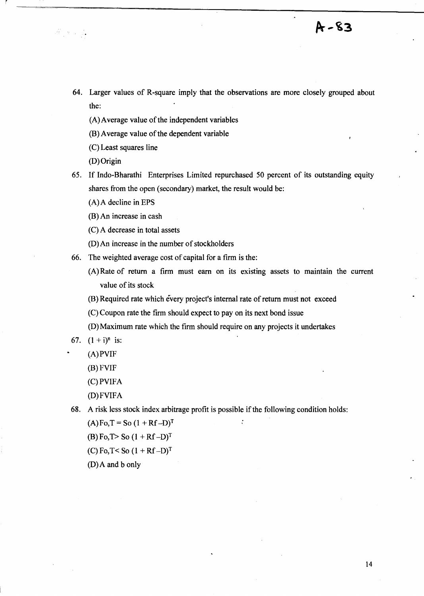- 64. Larger values of R-square imply that the observations are more closely grouped about the:
	- (A) Average value of the independent variables
	- (B) Average value of the dependent variable
	- (C) Least squares line

(D) Origin

 $\label{eq:2.1} \frac{\partial}{\partial t} = \frac{1}{2} \left( \frac{\partial}{\partial t} \right) \frac{\partial}{\partial t} \left( \frac{\partial}{\partial t} \right)$ 

r

- 65. If Indo-Bharathi Enterprises Limited repurchased 50 percent of its outstanding equity shares from the open (secondary) market, the result would be:
	- (A) A decline in EPS
	- (B) An increase in cash
	- (C) A decrease in total assets
	- (D) An increase in the number of stockholders
- 66. The weighted average cost of capital for a firm is the:
	- (A) Rate of return a firm must earn on its existing assets to maintain the current value of its stock
	- (B) Required rate which every project's internal rate of return must not exceed
	- (C) Coupon rate the firm should expect to pay on its next bond issue
	- (D) Maximum rate which the firm should require on any projects it undertakes
- 67.  $(1 + i)^n$  is:
	- (A)PVIF
	- (B) FVIF
	- (C)PVIFA
	- (D) FVIFA

68. A risk less stock index arbitrage profit is possible if the following condition holds:

 $\cdot$ 

- $(A)$  Fo, T = So  $(1 + Rf D)^T$
- (B) Fo,  $T >$  So  $(1 + Rf D)^T$
- (C) Fo, T< So  $(1 + Rf D)^T$
- (D) A and b only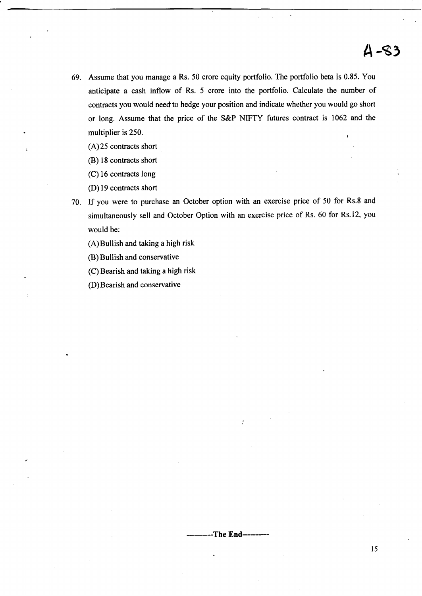# $4 - 83$

69. Assume that you manage a Rs. 50 crore equity portfolio. The portfolio beta is 0.85. You anticipate a cash inflow of Rs. 5 crore into the portfolio. Calculate the number of contracts you would need' to hedge your position and indicate whether you would go short or long. Assume that the price of the S&P NIFTY futures contract is 1062 and the multiplier is 250.

(A) 25 contracts short

(B) 18 contracts short

(C) 16 contracts long

CD) 19 contracts short

70. If you were to purchase an October option with an exercise price of 50 for Rs.8 and simultaneously sell and October Option with an exercise price of Rs. 60 for Rs.12, you would be:

(A) Bullish and taking a high risk

CB) Bullish and conservative

(C) Bearish and taking a high risk

CD) Bearish and conservative

----------**The** End----------